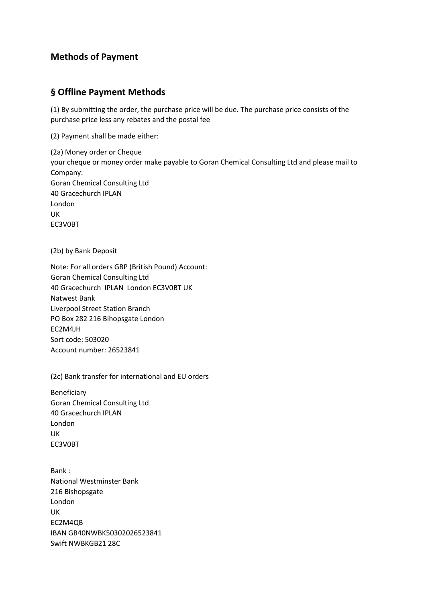## **Methods of Payment**

## **§ Offline Payment Methods**

(1) By submitting the order, the purchase price will be due. The purchase price consists of the purchase price less any rebates and the postal fee

(2) Payment shall be made either:

(2a) Money order or Cheque your cheque or money order make payable to Goran Chemical Consulting Ltd and please mail to Company: Goran Chemical Consulting Ltd 40 Gracechurch IPLAN London UK EC3V0BT

(2b) by Bank Deposit

Note: For all orders GBP (British Pound) Account: Goran Chemical Consulting Ltd 40 Gracechurch IPLAN London EC3V0BT UK Natwest Bank Liverpool Street Station Branch PO Box 282 216 Bihopsgate London EC2M4JH Sort code: 503020 Account number: 26523841

(2c) Bank transfer for international and EU orders

Beneficiary Goran Chemical Consulting Ltd 40 Gracechurch IPLAN London UK EC3V0BT

Bank : National Westminster Bank 216 Bishopsgate London UK EC2M4QB IBAN GB40NWBK50302026523841 Swift NWBKGB21 28C